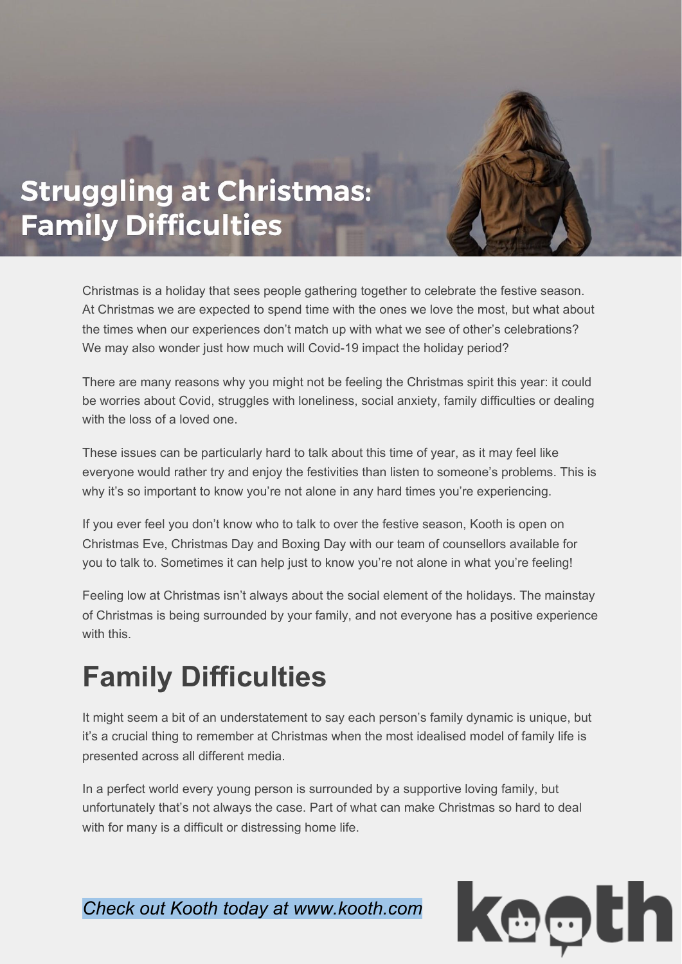## **Struggling at Christmas: Family Difficulties**

Christmas is a holiday that sees people gathering together to celebrate the festive season. At Christmas we are expected to spend time with the ones we love the most, but what about the times when our experiences don't match up with what we see of other's celebrations? We may also wonder just how much will Covid-19 impact the holiday period?

There are many reasons why you might not be feeling the Christmas spirit this year: it could be worries about Covid, struggles with loneliness, social anxiety, family difficulties or dealing with the loss of a loved one.

These issues can be particularly hard to talk about this time of year, as it may feel like everyone would rather try and enjoy the festivities than listen to someone's problems. This is why it's so important to know you're not alone in any hard times you're experiencing.

If you ever feel you don't know who to talk to over the festive season, Kooth is open on Christmas Eve, Christmas Day and Boxing Day with our team of counsellors available for you to talk to. Sometimes it can help just to know you're not alone in what you're feeling!

Feeling low at Christmas isn't always about the social element of the holidays. The mainstay of Christmas is being surrounded by your family, and not everyone has a positive experience with this.

## **Family Difficulties**

It might seem a bit of an understatement to say each person's family dynamic is unique, but it's a crucial thing to remember at Christmas when the most idealised model of family life is presented across all different media.

In a perfect world every young person is surrounded by a supportive loving family, but unfortunately that's not always the case. Part of what can make Christmas so hard to deal with for many is a difficult or distressing home life.

*Check out Kooth today at www.kooth.com*